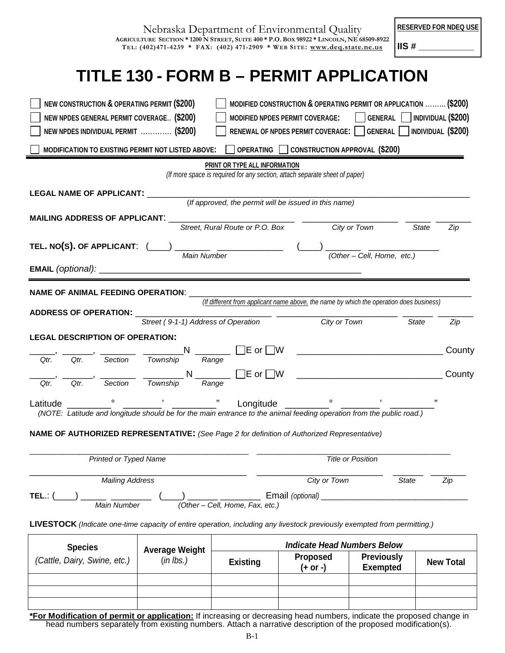| Nebraska Department of Environmental Quality                                             |
|------------------------------------------------------------------------------------------|
| AGRICULTURE SECTION * 1200 N STREET, SUITE 400 * P.O. BOX 98922 * LINCOLN, NE 68509-8922 |
| TEL: (402)471-4239 * FAX: (402) 471-2909 * WEB SITE: www.deq.state.ne.us                 |

**RESERVED FOR NDEQ USE** 

**IIS # \_\_\_\_\_\_\_\_\_\_\_**

## **TITLE 130 - FORM B – PERMIT APPLICATION**

| (Cattle, Dairy, Swine, etc.)                                                                                             | (in lbs.)                           | <b>Existing</b>                 | (+ or -)                                                                                                                           | <b>Exempted</b>                                                  | <b>New Total</b> |
|--------------------------------------------------------------------------------------------------------------------------|-------------------------------------|---------------------------------|------------------------------------------------------------------------------------------------------------------------------------|------------------------------------------------------------------|------------------|
| <b>Species</b>                                                                                                           | <b>Average Weight</b>               |                                 | <b>Indicate Head Numbers Below</b><br><b>Proposed</b>                                                                              | <b>Previously</b>                                                |                  |
| LIVESTOCK (Indicate one-time capacity of entire operation, including any livestock previously exempted from permitting.) |                                     |                                 |                                                                                                                                    |                                                                  |                  |
| TEL.:<br>Main Number                                                                                                     |                                     | (Other - Cell, Home, Fax, etc.) | Email (optional)                                                                                                                   |                                                                  |                  |
| <b>Mailing Address</b>                                                                                                   |                                     |                                 | City or Town                                                                                                                       | <b>State</b>                                                     | Zip              |
| Printed or Typed Name                                                                                                    |                                     |                                 |                                                                                                                                    | <b>Title or Position</b>                                         |                  |
| NAME OF AUTHORIZED REPRESENTATIVE: (See Page 2 for definition of Authorized Representative)                              |                                     |                                 |                                                                                                                                    |                                                                  |                  |
| (NOTE: Latitude and longitude should be for the main entrance to the animal feeding operation from the public road.)     |                                     |                                 |                                                                                                                                    |                                                                  |                  |
| Latitude                                                                                                                 |                                     | Longitude                       |                                                                                                                                    |                                                                  |                  |
| Section<br>Qtr.<br>Qtr.                                                                                                  | Township                            | Range                           |                                                                                                                                    |                                                                  | County           |
| Section<br>Qtr.<br>Qtr.                                                                                                  | Township                            | Range                           |                                                                                                                                    |                                                                  |                  |
|                                                                                                                          |                                     |                                 |                                                                                                                                    |                                                                  | County           |
| <b>LEGAL DESCRIPTION OF OPERATION:</b>                                                                                   | Street (9-1-1) Address of Operation |                                 |                                                                                                                                    |                                                                  | State<br>Zip     |
| <b>ADDRESS OF OPERATION:</b>                                                                                             |                                     |                                 | <u>Latings of Oneration City or Town City</u>                                                                                      |                                                                  |                  |
| NAME OF ANIMAL FEEDING OPERATION: ____                                                                                   |                                     |                                 | (If different from applicant name above, the name by which the operation does business)                                            |                                                                  |                  |
|                                                                                                                          |                                     |                                 |                                                                                                                                    |                                                                  |                  |
|                                                                                                                          | Main Number                         |                                 |                                                                                                                                    | $\overline{\text{Other}-\text{Cell}, \text{Home}, \text{ etc.}}$ |                  |
| TEL. NO(S). OF APPLICANT: (___                                                                                           |                                     |                                 |                                                                                                                                    |                                                                  |                  |
| <b>MAILING ADDRESS OF APPLICANT:</b>                                                                                     |                                     | Street, Rural Route or P.O. Box |                                                                                                                                    | <b>City or Town</b>                                              | State<br>Zip     |
|                                                                                                                          |                                     |                                 | (If approved, the permit will be issued in this name)                                                                              |                                                                  |                  |
| <b>LEGAL NAME OF APPLICANT:</b>                                                                                          |                                     |                                 |                                                                                                                                    |                                                                  |                  |
|                                                                                                                          |                                     | PRINT OR TYPE ALL INFORMATION   | (If more space is required for any section, attach separate sheet of paper)                                                        |                                                                  |                  |
| MODIFICATION TO EXISTING PERMIT NOT LISTED ABOVE:                                                                        |                                     |                                 | OPERATING CONSTRUCTION APPROVAL (\$200)                                                                                            |                                                                  |                  |
| NEW NPDES INDIVIDUAL PERMIT  (\$200)                                                                                     |                                     |                                 | RENEWAL OF NPDES PERMIT COVERAGE:   GENERAL   INDIVIDUAL (\$200)                                                                   |                                                                  |                  |
| NEW CONSTRUCTION & OPERATING PERMIT (\$200)<br>NEW NPDES GENERAL PERMIT COVERAGE (\$200)                                 |                                     |                                 | MODIFIED CONSTRUCTION & OPERATING PERMIT OR APPLICATION  (\$200)<br>MODIFIED NPDES PERMIT COVERAGE:   GENERAL   INDIVIDUAL (\$200) |                                                                  |                  |
|                                                                                                                          |                                     |                                 |                                                                                                                                    |                                                                  |                  |

**\*For Modification of permit or application:** If increasing or decreasing head numbers, indicate the proposed change in head numbers separately from existing numbers. Attach a narrative description of the proposed modification(s).